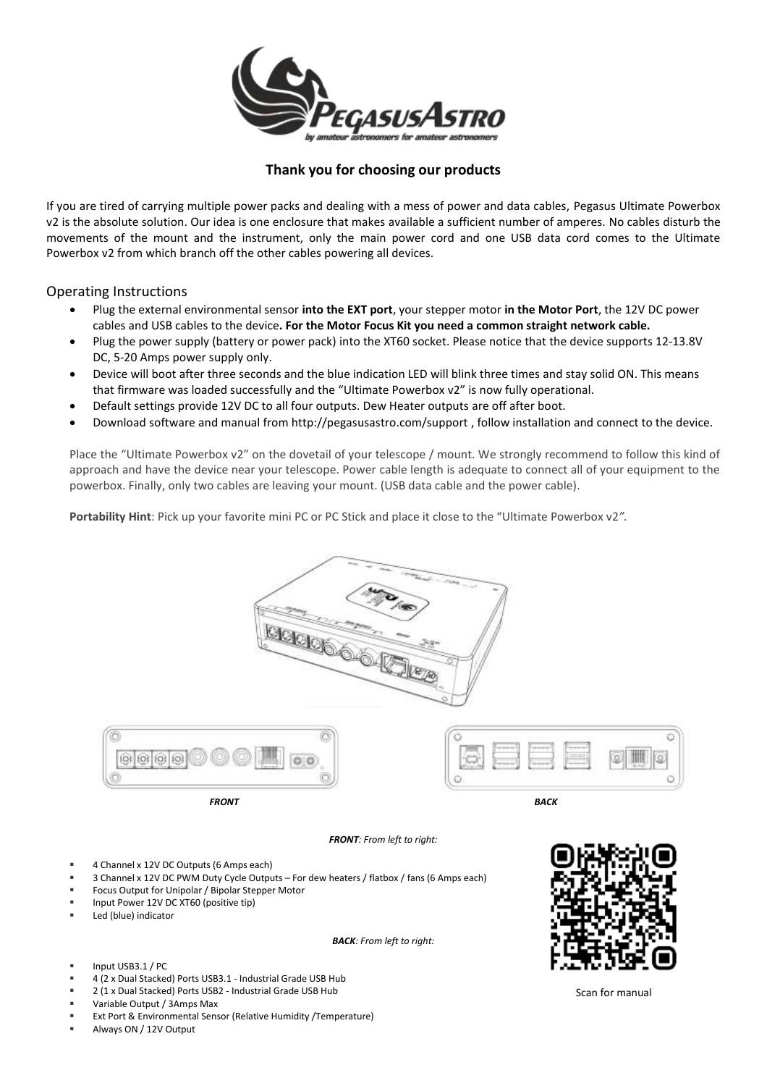

## **Thank you for choosing our products**

If you are tired of carrying multiple power packs and dealing with a mess of power and data cables, Pegasus Ultimate Powerbox v2 is the absolute solution. Our idea is one enclosure that makes available a sufficient number of amperes. No cables disturb the movements of the mount and the instrument, only the main power cord and one USB data cord comes to the Ultimate Powerbox v2 from which branch off the other cables powering all devices.

## Operating Instructions

- Plug the external environmental sensor **into the EXT port**, your stepper motor **in the Motor Port**, the 12V DC power cables and USB cables to the device**. For the Motor Focus Kit you need a common straight network cable.**
- Plug the power supply (battery or power pack) into the XT60 socket. Please notice that the device supports 12-13.8V DC, 5-20 Amps power supply only.
- Device will boot after three seconds and the blue indication LED will blink three times and stay solid ON. This means that firmware was loaded successfully and the "Ultimate Powerbox v2" is now fully operational.
- Default settings provide 12V DC to all four outputs. Dew Heater outputs are off after boot.
- Download software and manual from<http://pegasusastro.com/support> , follow installation and connect to the device.

Place the "Ultimate Powerbox v2" on the dovetail of your telescope / mount. We strongly recommend to follow this kind of approach and have the device near your telescope. Power cable length is adequate to connect all of your equipment to the powerbox. Finally, only two cables are leaving your mount. (USB data cable and the power cable).

**Portability Hint**: Pick up your favorite mini PC or PC Stick and place it close to the "Ultimate Powerbox v2*".*





*FRONT BACK*



*FRONT: From left to right:*

- 4 Channel x 12V DC Outputs (6 Amps each)
- 3 Channel x 12V DC PWM Duty Cycle Outputs For dew heaters / flatbox / fans (6 Amps each)
- Focus Output for Unipolar / Bipolar Stepper Motor
- Input Power 12V DC XT60 (positive tip)
- Led (blue) indicator

*BACK: From left to right:*

- Input USB3.1 / PC
- 4 (2 x Dual Stacked) Ports USB3.1 Industrial Grade USB Hub
- 2 (1 x Dual Stacked) Ports USB2 Industrial Grade USB Hub
- Variable Output / 3Amps Max
- Ext Port & Environmental Sensor (Relative Humidity /Temperature)
- Always ON / 12V Output



Scan for manual